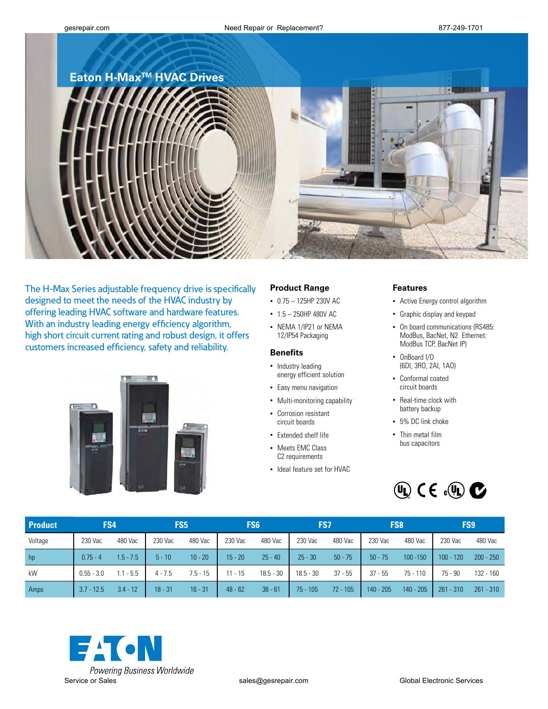## **Eaton H-MaxTM HVAC Drives**





The H-Max Series adjustable frequency drive is specifically designed to meet the needs of the HVAC industry by offering leading HVAC software and hardware features. With an industry leading energy efficiency algorithm, high short circuit current rating and robust design, it offers customers increased efficiency, safety and reliability.



### **Product Range**

- • 0.75 125HP 230V AC
- 1.5 250HP 480V AC
- • NEMA 1/IP21 or NEMA 12/IP54 Packaging

#### **Benefits**

- Industry leading energy efficient solution
- Easy menu navigation
- Multi-monitoring capability
- • Corrosion resistant circuit boards
- Extended shelf life
- Meets EMC Class C<sub>2</sub> requirements
- • Ideal feature set for HVAC

#### **Features**

- • Active Energy control algorithm
- • Graphic display and keypad
- On board communications (RS485: ModBus, BacNet, N2 Ethernet: ModBus TCP, BacNet IP)
- • OnBoard I/O (6DI, 3RO, 2AI, 1AO)
- • Conformal coated circuit boards
- Real-time clock with battery backup
- 5% DC link choke
- Thin metal film bus capacitors



| <b>Product</b> | FS4          |             | FS5       |            |           | FS <sub>6</sub> | FS7         |            | FS <sub>8</sub> |             | FS <sub>9</sub> |             |
|----------------|--------------|-------------|-----------|------------|-----------|-----------------|-------------|------------|-----------------|-------------|-----------------|-------------|
| Voltage        | 230 Vac      | 480 Vac     | 230 Vac   | 480 Vac    | 230 Vac   | 480 Vac         | 230 Vac     | 480 Vac    | 230 Vac         | 480 Vac     | 230 Vac         | 480 Vac     |
| hp             | $0.75 - 4$   | $1.5 - 7.5$ | $5 - 10$  | $10 - 20$  | $15 - 20$ | $25 - 40$       | $25 - 30$   | $50 - 75$  | $50 - 75$       | $100 - 150$ | $100 - 120$     | $200 - 250$ |
| kW             | $0.55 - 3.0$ | $1.1 - 5.5$ | $4 - 7.5$ | $7.5 - 15$ | $11 - 15$ | $18.5 - 30$     | $18.5 - 30$ | $37 - 55$  | $37 - 55$       | 75 - 110    | $75 - 90$       | $132 - 160$ |
| Amps           | $3.7 - 12.5$ | $3.4 - 12$  | $18 - 31$ | $16 - 31$  | $48 - 62$ | $38 - 61$       | $75 - 105$  | $72 - 105$ | $140 - 205$     | $140 - 205$ | $261 - 310$     | $261 - 310$ |